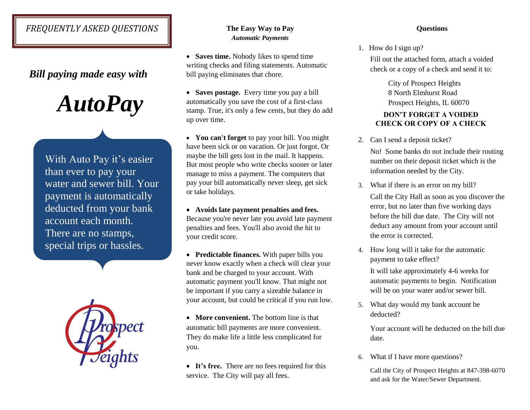# *FREQUENTLY ASKED QUESTIONS*

## *Bill paying made easy with*

 *AutoPay* 

With Auto Pay it's easier than ever to pay your water and sewer bill. Your payment is automatically deducted from your bank account each month. There are no stamps, special trips or hassles.



### **The Easy Way to Pay**  *Automatic Payments*

• **Saves time.** Nobody likes to spend time writing checks and filing statements. Automatic bill paying eliminates that chore.

 **Saves postage.** Every time you pay a bill automatically you save the cost of a first-class stamp. True, it's only a few cents, but they do add up over time.

 **You can't forget** to pay your bill. You might have been sick or on vacation. Or just forgot. Or maybe the bill gets lost in the mail. It happens. But most people who write checks sooner or later manage to miss a payment. The computers that pay your bill automatically never sleep, get sick or take holidays.

 **Avoids late payment penalties and fees.** Because you're never late you avoid late payment penalties and fees. You'll also avoid the hit to your credit score.

 **Predictable finances.** With paper bills you never know exactly when a check will clear your bank and be charged to your account. With automatic payment you'll know. That might not be important if you carry a sizeable balance in your account, but could be critical if you run low.

• **More convenient.** The bottom line is that automatic bill payments are more convenient. They do make life a little less complicated for you.

• It's free. There are no fees required for this service. The City will pay all fees.

### **Questions**

1. How do I sign up?

Fill out the attached form, attach a voided check or a copy of a check and send it to:

> City of Prospect Heights 8 North Elmhurst Road Prospect Heights, IL 60070

## **DON'T FORGET A VOIDED CHECK OR COPY OF A CHECK**

- 2. Can I send a deposit ticket? No! Some banks do not include their routing number on their deposit ticket which is the information needed by the City.
- 3. What if there is an error on my bill? Call the City Hall as soon as you discover the error, but no later than five working days before the bill due date. The City will not deduct any amount from your account until the error is corrected.
- 4. How long will it take for the automatic payment to take effect? It will take approximately 4-6 weeks for automatic payments to begin. Notification

will be on your water and/or sewer bill.

5. What day would my bank account be deducted?

> Your account will be deducted on the bill due date.

6. What if I have more questions?

Call the City of Prospect Heights at 847-398-6070 and ask for the Water/Sewer Department.